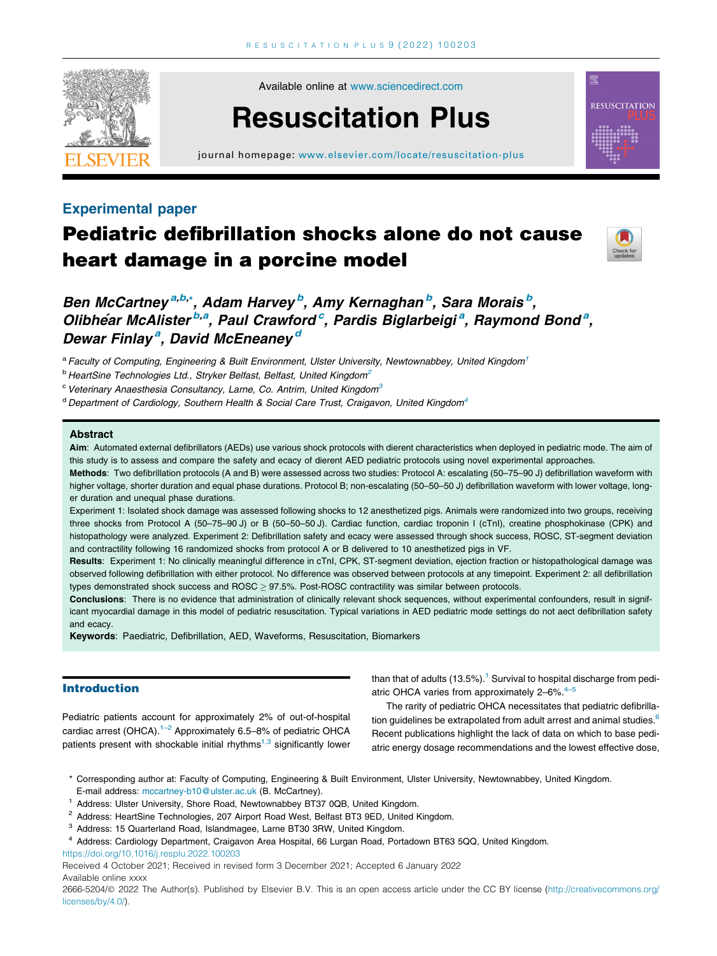

Available online at [www.sciencedirect.com](http://www.sciencedirect.com/science/journal/26665204)

# Resuscitation Plus

journal homepage: [www.elsevier.com/locate/resuscitation-plus](http://www.elsevier.com/locate/resuscitation-plus)

### Experimental paper

## Pediatric defibrillation shocks alone do not cause heart damage in a porcine model



**RESUSCITATION** 

## Ben McCartney<sup>a,b,</sup>\*, Adam Harvey<sup>,b</sup>, Amy Kernaghan<sup>ib</sup>, Sara Morais<sup>ib</sup>, Olibhéar McAlister<sup>b,a</sup>, Paul Crawford<sup>c</sup>, Pardis Biglarbeigi<sup>a</sup>, Raymond Bond<sup>a</sup>, Dewar Finlay<sup>a</sup>, David McEneaney<sup>d</sup>

a Faculty of Computing, Engineering & Built Environment, Ulster University, Newtownabbey, United Kingdom<sup>1</sup>

<sup>b</sup> HeartSine Technologies Ltd., Stryker Belfast, Belfast, United Kingdom<sup>2</sup>

 $c$  Veterinary Anaesthesia Consultancy, Larne, Co. Antrim, United Kingdom $3$ 

 $d$  Department of Cardiology, Southern Health & Social Care Trust, Craigavon, United Kingdom<sup>4</sup>

#### Abstract

Aim: Automated external defibrillators (AEDs) use various shock protocols with dierent characteristics when deployed in pediatric mode. The aim of this study is to assess and compare the safety and ecacy of dierent AED pediatric protocols using novel experimental approaches.

Methods: Two defibrillation protocols (A and B) were assessed across two studies: Protocol A: escalating (50-75-90 J) defibrillation waveform with higher voltage, shorter duration and equal phase durations. Protocol B; non-escalating (50–50–50 J) defibrillation waveform with lower voltage, longer duration and unequal phase durations.

Experiment 1: Isolated shock damage was assessed following shocks to 12 anesthetized pigs. Animals were randomized into two groups, receiving three shocks from Protocol A (50–75–90 J) or B (50–50–50 J). Cardiac function, cardiac troponin I (cTnI), creatine phosphokinase (CPK) and histopathology were analyzed. Experiment 2: Defibrillation safety and ecacy were assessed through shock success, ROSC, ST-segment deviation and contractility following 16 randomized shocks from protocol A or B delivered to 10 anesthetized pigs in VF.

Results: Experiment 1: No clinically meaningful difference in cTnI, CPK, ST-segment deviation, ejection fraction or histopathological damage was observed following defibrillation with either protocol. No difference was observed between protocols at any timepoint. Experiment 2: all defibrillation types demonstrated shock success and ROSC > 97.5%. Post-ROSC contractility was similar between protocols.

Conclusions: There is no evidence that administration of clinically relevant shock sequences, without experimental confounders, result in significant myocardial damage in this model of pediatric resuscitation. Typical variations in AED pediatric mode settings do not aect defibrillation safety and ecacy.

Keywords: Paediatric, Defibrillation, AED, Waveforms, Resuscitation, Biomarkers

#### Introduction

Pediatric patients account for approximately 2% of out-of-hospital cardiac arrest (OHCA).<sup>1-2</sup> Approximately 6.5-8% of pediatric OHCA patients present with shockable initial rhythms $1,3$  significantly lower

than that of adults  $(13.5\%)$ .<sup>1</sup> Survival to hospital discharge from pediatric OHCA varies from approximately  $2-6\%$ .<sup>4-5</sup>

The rarity of pediatric OHCA necessitates that pediatric defibrilla-tion guidelines be extrapolated from adult arrest and animal studies.<sup>[6](#page-7-0)</sup> Recent publications highlight the lack of data on which to base pediatric energy dosage recommendations and the lowest effective dose,

- <sup>1</sup> Address: Ulster University, Shore Road, Newtownabbey BT37 0QB, United Kingdom.
- <sup>2</sup> Address: HeartSine Technologies, 207 Airport Road West, Belfast BT3 9ED, United Kingdom.
- <sup>3</sup> Address: 15 Quarterland Road, Islandmagee, Larne BT30 3RW, United Kingdom.
- <sup>4</sup> Address: Cardiology Department, Craigavon Area Hospital, 66 Lurgan Road, Portadown BT63 5QQ, United Kingdom.

<https://doi.org/10.1016/j.resplu.2022.100203>

2666-5204/@ 2022 The Author(s). Published by Elsevier B.V. This is an open access article under the CC BY license [\(http://creativecommons.org/](http://creativecommons.org/licenses/by/4.0/) [licenses/by/4.0/](http://creativecommons.org/licenses/by/4.0/)).

<sup>\*</sup> Corresponding author at: Faculty of Computing, Engineering & Built Environment, Ulster University, Newtownabbey, United Kingdom. E-mail address: [mccartney-b10@ulster.ac.uk](mailto:mccartney-b10@ulster.ac.uk) (B. McCartney).

Received 4 October 2021; Received in revised form 3 December 2021; Accepted 6 January 2022 Available online xxxx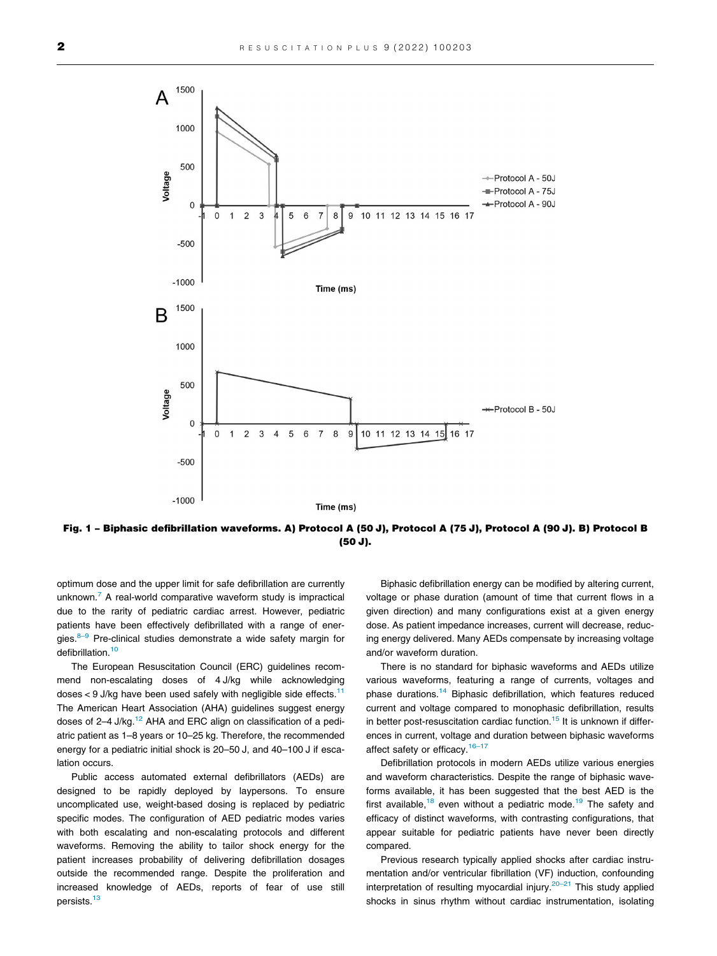<span id="page-1-0"></span>

Fig. 1 – Biphasic defibrillation waveforms. A) Protocol A (50 J), Protocol A (75 J), Protocol A (90 J). B) Protocol B (50 J).

optimum dose and the upper limit for safe defibrillation are currently unknown.<sup>[7](#page-7-0)</sup> A real-world comparative waveform study is impractical due to the rarity of pediatric cardiac arrest. However, pediatric patients have been effectively defibrillated with a range of energies.<sup>8–9</sup> Pre-clinical studies demonstrate a wide safety margin for defibrillation.<sup>[10](#page-7-0)</sup>

The European Resuscitation Council (ERC) guidelines recommend non-escalating doses of 4 J/kg while acknowledging doses  $<$  9 J/kg have been used safely with negligible side effects.<sup>[11](#page-7-0)</sup> The American Heart Association (AHA) guidelines suggest energy doses of  $2-4$  J/kg.<sup>12</sup> AHA and ERC align on classification of a pediatric patient as 1–8 years or 10–25 kg. Therefore, the recommended energy for a pediatric initial shock is 20–50 J, and 40–100 J if escalation occurs.

Public access automated external defibrillators (AEDs) are designed to be rapidly deployed by laypersons. To ensure uncomplicated use, weight-based dosing is replaced by pediatric specific modes. The configuration of AED pediatric modes varies with both escalating and non-escalating protocols and different waveforms. Removing the ability to tailor shock energy for the patient increases probability of delivering defibrillation dosages outside the recommended range. Despite the proliferation and increased knowledge of AEDs, reports of fear of use still persists.<sup>[13](#page-7-0)</sup>

Biphasic defibrillation energy can be modified by altering current, voltage or phase duration (amount of time that current flows in a given direction) and many configurations exist at a given energy dose. As patient impedance increases, current will decrease, reducing energy delivered. Many AEDs compensate by increasing voltage and/or waveform duration.

There is no standard for biphasic waveforms and AEDs utilize various waveforms, featuring a range of currents, voltages and phase durations.[14](#page-7-0) Biphasic defibrillation, which features reduced current and voltage compared to monophasic defibrillation, results in better post-resuscitation cardiac function.<sup>15</sup> It is unknown if differences in current, voltage and duration between biphasic waveforms affect safety or efficacy.<sup>16-17</sup>

Defibrillation protocols in modern AEDs utilize various energies and waveform characteristics. Despite the range of biphasic waveforms available, it has been suggested that the best AED is the first available, $18$  even without a pediatric mode.<sup>[19](#page-7-0)</sup> The safety and efficacy of distinct waveforms, with contrasting configurations, that appear suitable for pediatric patients have never been directly compared.

Previous research typically applied shocks after cardiac instrumentation and/or ventricular fibrillation (VF) induction, confounding interpretation of resulting myocardial injury.<sup>20-21</sup> This study applied shocks in sinus rhythm without cardiac instrumentation, isolating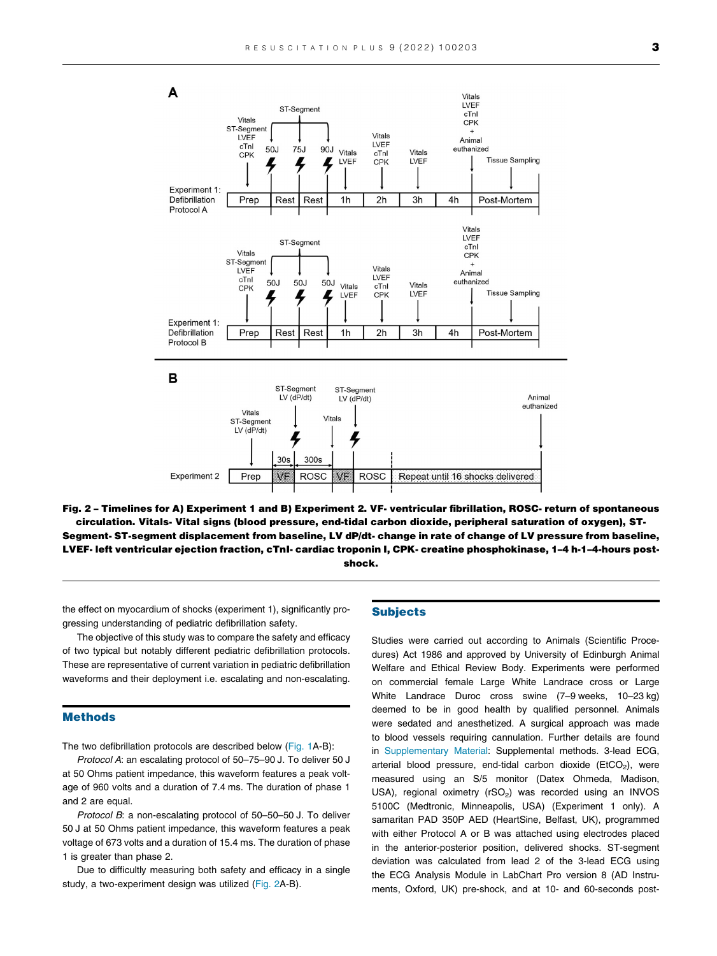<span id="page-2-0"></span>

Fig. 2 – Timelines for A) Experiment 1 and B) Experiment 2. VF- ventricular fibrillation, ROSC- return of spontaneous circulation. Vitals- Vital signs (blood pressure, end-tidal carbon dioxide, peripheral saturation of oxygen), ST-Segment- ST-segment displacement from baseline, LV dP/dt- change in rate of change of LV pressure from baseline, LVEF- left ventricular ejection fraction, cTnI- cardiac troponin I, CPK- creatine phosphokinase, 1–4 h-1–4-hours postshock.

the effect on myocardium of shocks (experiment 1), significantly progressing understanding of pediatric defibrillation safety.

The objective of this study was to compare the safety and efficacy of two typical but notably different pediatric defibrillation protocols. These are representative of current variation in pediatric defibrillation waveforms and their deployment i.e. escalating and non-escalating.

#### Methods

The two defibrillation protocols are described below ([Fig. 1A](#page-1-0)-B):

Protocol A: an escalating protocol of 50–75–90 J. To deliver 50 J at 50 Ohms patient impedance, this waveform features a peak voltage of 960 volts and a duration of 7.4 ms. The duration of phase 1 and 2 are equal.

Protocol B: a non-escalating protocol of 50-50-50 J. To deliver 50 J at 50 Ohms patient impedance, this waveform features a peak voltage of 673 volts and a duration of 15.4 ms. The duration of phase 1 is greater than phase 2.

Due to difficultly measuring both safety and efficacy in a single study, a two-experiment design was utilized (Fig. 2A-B).

#### Subjects

Studies were carried out according to Animals (Scientific Procedures) Act 1986 and approved by University of Edinburgh Animal Welfare and Ethical Review Body. Experiments were performed on commercial female Large White Landrace cross or Large White Landrace Duroc cross swine (7–9 weeks, 10–23 kg) deemed to be in good health by qualified personnel. Animals were sedated and anesthetized. A surgical approach was made to blood vessels requiring cannulation. Further details are found in Supplementary Material: Supplemental methods. 3-lead ECG, arterial blood pressure, end-tidal carbon dioxide ( $EtCO<sub>2</sub>$ ), were measured using an S/5 monitor (Datex Ohmeda, Madison, USA), regional oximetry ( $rSO<sub>2</sub>$ ) was recorded using an INVOS 5100C (Medtronic, Minneapolis, USA) (Experiment 1 only). A samaritan PAD 350P AED (HeartSine, Belfast, UK), programmed with either Protocol A or B was attached using electrodes placed in the anterior-posterior position, delivered shocks. ST-segment deviation was calculated from lead 2 of the 3-lead ECG using the ECG Analysis Module in LabChart Pro version 8 (AD Instruments, Oxford, UK) pre-shock, and at 10- and 60-seconds post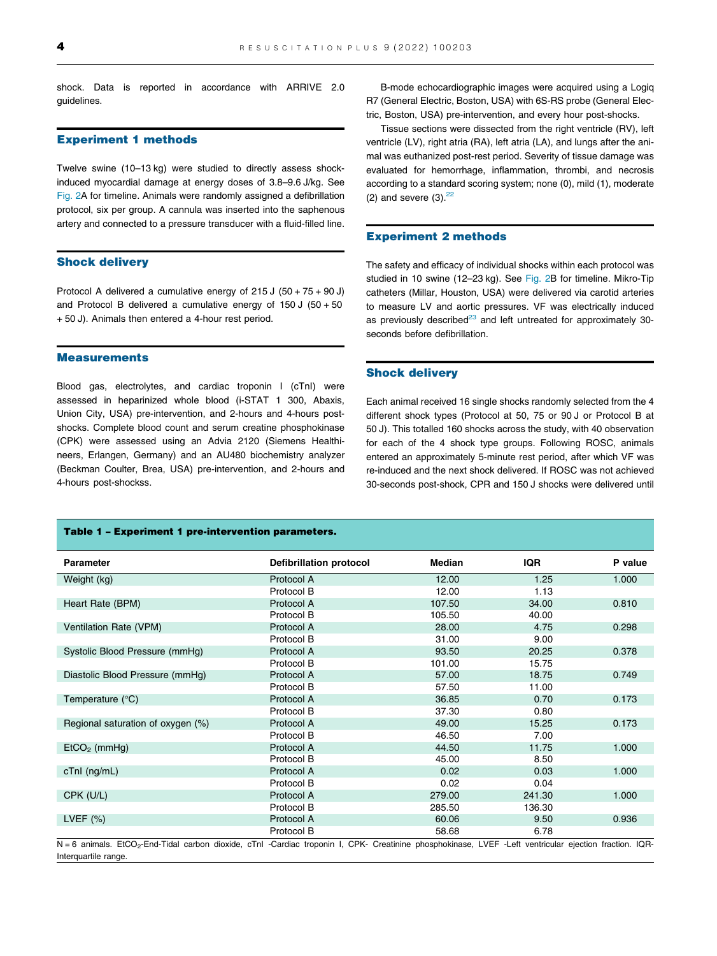<span id="page-3-0"></span>shock. Data is reported in accordance with ARRIVE 2.0 guidelines.

#### Experiment 1 methods

Twelve swine (10–13 kg) were studied to directly assess shockinduced myocardial damage at energy doses of 3.8–9.6 J/kg. See [Fig. 2](#page-2-0)A for timeline. Animals were randomly assigned a defibrillation protocol, six per group. A cannula was inserted into the saphenous artery and connected to a pressure transducer with a fluid-filled line.

#### Shock delivery

Protocol A delivered a cumulative energy of 215 J (50 + 75 + 90 J) and Protocol B delivered a cumulative energy of  $150 J (50 + 50$ + 50 J). Animals then entered a 4-hour rest period.

#### **Measurements**

Blood gas, electrolytes, and cardiac troponin I (cTnI) were assessed in heparinized whole blood (i-STAT 1 300, Abaxis, Union City, USA) pre-intervention, and 2-hours and 4-hours postshocks. Complete blood count and serum creatine phosphokinase (CPK) were assessed using an Advia 2120 (Siemens Healthineers, Erlangen, Germany) and an AU480 biochemistry analyzer (Beckman Coulter, Brea, USA) pre-intervention, and 2-hours and 4-hours post-shockss.

B-mode echocardiographic images were acquired using a Logiq R7 (General Electric, Boston, USA) with 6S-RS probe (General Electric, Boston, USA) pre-intervention, and every hour post-shocks.

Tissue sections were dissected from the right ventricle (RV), left ventricle (LV), right atria (RA), left atria (LA), and lungs after the animal was euthanized post-rest period. Severity of tissue damage was evaluated for hemorrhage, inflammation, thrombi, and necrosis according to a standard scoring system; none (0), mild (1), moderate (2) and severe  $(3)$ .  $22$ 

#### Experiment 2 methods

The safety and efficacy of individual shocks within each protocol was studied in 10 swine (12–23 kg). See [Fig. 2](#page-2-0)B for timeline. Mikro-Tip catheters (Millar, Houston, USA) were delivered via carotid arteries to measure LV and aortic pressures. VF was electrically induced as previously described $^{23}$  and left untreated for approximately 30seconds before defibrillation.

#### Shock delivery

Each animal received 16 single shocks randomly selected from the 4 different shock types (Protocol at 50, 75 or 90 J or Protocol B at 50 J). This totalled 160 shocks across the study, with 40 observation for each of the 4 shock type groups. Following ROSC, animals entered an approximately 5-minute rest period, after which VF was re-induced and the next shock delivered. If ROSC was not achieved 30-seconds post-shock, CPR and 150 J shocks were delivered until

| Table 1 - Experiment 1 pre-intervention parameters.                                                                                                                 |                                |        |            |         |  |
|---------------------------------------------------------------------------------------------------------------------------------------------------------------------|--------------------------------|--------|------------|---------|--|
| <b>Parameter</b>                                                                                                                                                    | <b>Defibrillation protocol</b> | Median | <b>IQR</b> | P value |  |
| Weight (kg)                                                                                                                                                         | Protocol A                     | 12.00  | 1.25       | 1.000   |  |
|                                                                                                                                                                     | Protocol B                     | 12.00  | 1.13       |         |  |
| Heart Rate (BPM)                                                                                                                                                    | Protocol A                     | 107.50 | 34.00      | 0.810   |  |
|                                                                                                                                                                     | Protocol B                     | 105.50 | 40.00      |         |  |
| Ventilation Rate (VPM)                                                                                                                                              | Protocol A                     | 28.00  | 4.75       | 0.298   |  |
|                                                                                                                                                                     | Protocol B                     | 31.00  | 9.00       |         |  |
| Systolic Blood Pressure (mmHg)                                                                                                                                      | Protocol A                     | 93.50  | 20.25      | 0.378   |  |
|                                                                                                                                                                     | Protocol B                     | 101.00 | 15.75      |         |  |
| Diastolic Blood Pressure (mmHg)                                                                                                                                     | Protocol A                     | 57.00  | 18.75      | 0.749   |  |
|                                                                                                                                                                     | Protocol B                     | 57.50  | 11.00      |         |  |
| Temperature $(^{\circ}C)$                                                                                                                                           | Protocol A                     | 36.85  | 0.70       | 0.173   |  |
|                                                                                                                                                                     | Protocol B                     | 37.30  | 0.80       |         |  |
| Regional saturation of oxygen (%)                                                                                                                                   | Protocol A                     | 49.00  | 15.25      | 0.173   |  |
|                                                                                                                                                                     | Protocol B                     | 46.50  | 7.00       |         |  |
| $EtCO2$ (mmHg)                                                                                                                                                      | Protocol A                     | 44.50  | 11.75      | 1.000   |  |
|                                                                                                                                                                     | Protocol B                     | 45.00  | 8.50       |         |  |
| $cTnl$ ( $ng/mL$ )                                                                                                                                                  | Protocol A                     | 0.02   | 0.03       | 1.000   |  |
|                                                                                                                                                                     | Protocol B                     | 0.02   | 0.04       |         |  |
| CPK (U/L)                                                                                                                                                           | Protocol A                     | 279.00 | 241.30     | 1.000   |  |
|                                                                                                                                                                     | Protocol B                     | 285.50 | 136.30     |         |  |
| LVEF $(\%)$                                                                                                                                                         | Protocol A                     | 60.06  | 9.50       | 0.936   |  |
|                                                                                                                                                                     | Protocol B                     | 58.68  | 6.78       |         |  |
| N = 6 animals. EtCO <sub>2</sub> -End-Tidal carbon dioxide, cTnI -Cardiac troponin I, CPK- Creatinine phosphokinase, LVEF -Left ventricular ejection fraction. IQR- |                                |        |            |         |  |

Interquartile range.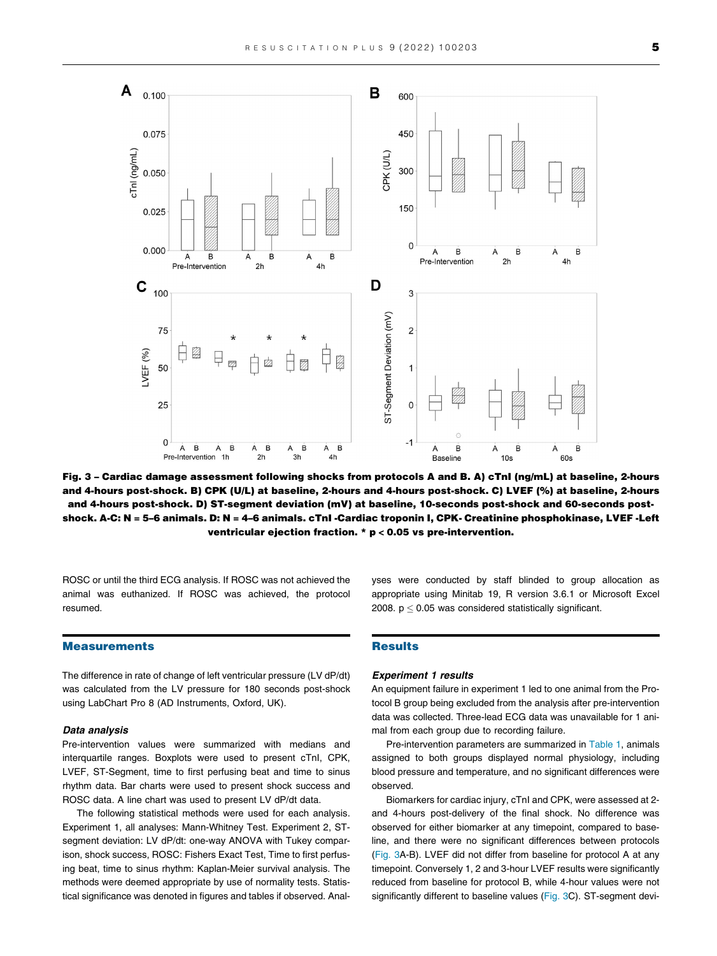<span id="page-4-0"></span>

Fig. 3 – Cardiac damage assessment following shocks from protocols A and B. A) cTnI (ng/mL) at baseline, 2-hours and 4-hours post-shock. B) CPK (U/L) at baseline, 2-hours and 4-hours post-shock. C) LVEF (%) at baseline, 2-hours and 4-hours post-shock. D) ST-segment deviation (mV) at baseline, 10-seconds post-shock and 60-seconds postshock. A-C: N = 5–6 animals. D: N = 4–6 animals. cTnI -Cardiac troponin I, CPK- Creatinine phosphokinase, LVEF -Left ventricular ejection fraction. \* p < 0.05 vs pre-intervention.

ROSC or until the third ECG analysis. If ROSC was not achieved the animal was euthanized. If ROSC was achieved, the protocol resumed.

#### Measurements

The difference in rate of change of left ventricular pressure (LV dP/dt) was calculated from the LV pressure for 180 seconds post-shock using LabChart Pro 8 (AD Instruments, Oxford, UK).

#### Data analysis

Pre-intervention values were summarized with medians and interquartile ranges. Boxplots were used to present cTnI, CPK, LVEF, ST-Segment, time to first perfusing beat and time to sinus rhythm data. Bar charts were used to present shock success and ROSC data. A line chart was used to present LV dP/dt data.

The following statistical methods were used for each analysis. Experiment 1, all analyses: Mann-Whitney Test. Experiment 2, STsegment deviation: LV dP/dt: one-way ANOVA with Tukey comparison, shock success, ROSC: Fishers Exact Test, Time to first perfusing beat, time to sinus rhythm: Kaplan-Meier survival analysis. The methods were deemed appropriate by use of normality tests. Statistical significance was denoted in figures and tables if observed. Analyses were conducted by staff blinded to group allocation as appropriate using Minitab 19, R version 3.6.1 or Microsoft Excel 2008.  $p \le 0.05$  was considered statistically significant.

#### **Results**

#### Experiment 1 results

An equipment failure in experiment 1 led to one animal from the Protocol B group being excluded from the analysis after pre-intervention data was collected. Three-lead ECG data was unavailable for 1 animal from each group due to recording failure.

Pre-intervention parameters are summarized in [Table 1](#page-3-0), animals assigned to both groups displayed normal physiology, including blood pressure and temperature, and no significant differences were observed.

Biomarkers for cardiac injury, cTnI and CPK, were assessed at 2 and 4-hours post-delivery of the final shock. No difference was observed for either biomarker at any timepoint, compared to baseline, and there were no significant differences between protocols (Fig. 3A-B). LVEF did not differ from baseline for protocol A at any timepoint. Conversely 1, 2 and 3-hour LVEF results were significantly reduced from baseline for protocol B, while 4-hour values were not significantly different to baseline values (Fig. 3C). ST-segment devi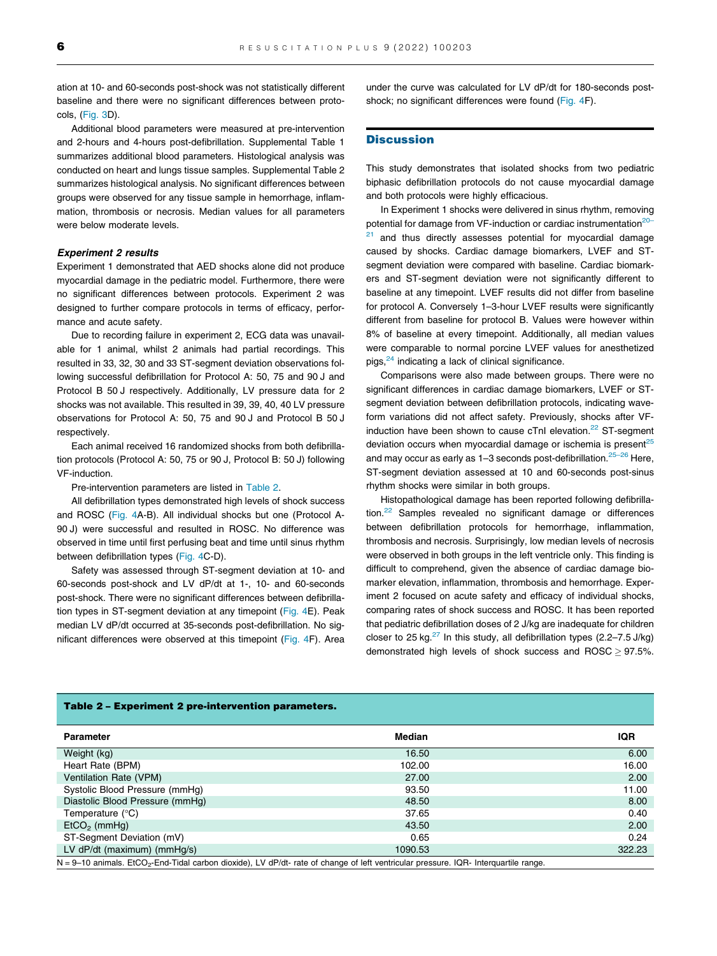ation at 10- and 60-seconds post-shock was not statistically different baseline and there were no significant differences between protocols, ([Fig. 3](#page-4-0)D).

Additional blood parameters were measured at pre-intervention and 2-hours and 4-hours post-defibrillation. Supplemental Table 1 summarizes additional blood parameters. Histological analysis was conducted on heart and lungs tissue samples. Supplemental Table 2 summarizes histological analysis. No significant differences between groups were observed for any tissue sample in hemorrhage, inflammation, thrombosis or necrosis. Median values for all parameters were below moderate levels.

#### Experiment 2 results

Experiment 1 demonstrated that AED shocks alone did not produce myocardial damage in the pediatric model. Furthermore, there were no significant differences between protocols. Experiment 2 was designed to further compare protocols in terms of efficacy, performance and acute safety.

Due to recording failure in experiment 2, ECG data was unavailable for 1 animal, whilst 2 animals had partial recordings. This resulted in 33, 32, 30 and 33 ST-segment deviation observations following successful defibrillation for Protocol A: 50, 75 and 90 J and Protocol B 50 J respectively. Additionally, LV pressure data for 2 shocks was not available. This resulted in 39, 39, 40, 40 LV pressure observations for Protocol A: 50, 75 and 90 J and Protocol B 50 J respectively.

Each animal received 16 randomized shocks from both defibrillation protocols (Protocol A: 50, 75 or 90 J, Protocol B: 50 J) following VF-induction.

Pre-intervention parameters are listed in Table 2.

All defibrillation types demonstrated high levels of shock success and ROSC ([Fig. 4A](#page-6-0)-B). All individual shocks but one (Protocol A-90 J) were successful and resulted in ROSC. No difference was observed in time until first perfusing beat and time until sinus rhythm between defibrillation types ([Fig. 4](#page-6-0)C-D).

Safety was assessed through ST-segment deviation at 10- and 60-seconds post-shock and LV dP/dt at 1-, 10- and 60-seconds post-shock. There were no significant differences between defibrillation types in ST-segment deviation at any timepoint [\(Fig. 4E](#page-6-0)). Peak median LV dP/dt occurred at 35-seconds post-defibrillation. No significant differences were observed at this timepoint [\(Fig. 4F](#page-6-0)). Area

under the curve was calculated for LV dP/dt for 180-seconds postshock; no significant differences were found [\(Fig. 4F](#page-6-0)).

#### **Discussion**

This study demonstrates that isolated shocks from two pediatric biphasic defibrillation protocols do not cause myocardial damage and both protocols were highly efficacious.

In Experiment 1 shocks were delivered in sinus rhythm, removing potential for damage from VF-induction or cardiac instrumentation<sup>[20–](#page-7-0)</sup>

and thus directly assesses potential for myocardial damage caused by shocks. Cardiac damage biomarkers, LVEF and STsegment deviation were compared with baseline. Cardiac biomarkers and ST-segment deviation were not significantly different to baseline at any timepoint. LVEF results did not differ from baseline for protocol A. Conversely 1–3-hour LVEF results were significantly different from baseline for protocol B. Values were however within 8% of baseline at every timepoint. Additionally, all median values were comparable to normal porcine LVEF values for anesthetized pigs, $24$  indicating a lack of clinical significance.

Comparisons were also made between groups. There were no significant differences in cardiac damage biomarkers, LVEF or STsegment deviation between defibrillation protocols, indicating waveform variations did not affect safety. Previously, shocks after VF-induction have been shown to cause cTnI elevation.<sup>[22](#page-7-0)</sup> ST-segment deviation occurs when myocardial damage or ischemia is present<sup>[25](#page-8-0)</sup> and may occur as early as  $1-3$  seconds post-defibrillation.<sup>25-26</sup> Here, ST-segment deviation assessed at 10 and 60-seconds post-sinus rhythm shocks were similar in both groups.

Histopathological damage has been reported following defibrilla-tion.<sup>[22](#page-7-0)</sup> Samples revealed no significant damage or differences between defibrillation protocols for hemorrhage, inflammation, thrombosis and necrosis. Surprisingly, low median levels of necrosis were observed in both groups in the left ventricle only. This finding is difficult to comprehend, given the absence of cardiac damage biomarker elevation, inflammation, thrombosis and hemorrhage. Experiment 2 focused on acute safety and efficacy of individual shocks, comparing rates of shock success and ROSC. It has been reported that pediatric defibrillation doses of 2 J/kg are inadequate for children closer to 25 kg. $^{27}$  In this study, all defibrillation types (2.2–7.5 J/kg) demonstrated high levels of shock success and  $\text{ROSC} \geq 97.5\%$ .

| Parameter                                                                                                                                        | <b>Median</b> | IQR    |  |  |
|--------------------------------------------------------------------------------------------------------------------------------------------------|---------------|--------|--|--|
| Weight (kg)                                                                                                                                      | 16.50         | 6.00   |  |  |
| Heart Rate (BPM)                                                                                                                                 | 102.00        | 16.00  |  |  |
| Ventilation Rate (VPM)                                                                                                                           | 27.00         | 2.00   |  |  |
| Systolic Blood Pressure (mmHq)                                                                                                                   | 93.50         | 11.00  |  |  |
| Diastolic Blood Pressure (mmHq)                                                                                                                  | 48.50         | 8.00   |  |  |
| Temperature $(^{\circ}C)$                                                                                                                        | 37.65         | 0.40   |  |  |
| $EtCO2$ (mmHg)                                                                                                                                   | 43.50         | 2.00   |  |  |
| ST-Segment Deviation (mV)                                                                                                                        | 0.65          | 0.24   |  |  |
| LV dP/dt (maximum) (mmHq/s)                                                                                                                      | 1090.53       | 322.23 |  |  |
| N = 9-10 animals. EtCO <sub>2</sub> -End-Tidal carbon dioxide), LV dP/dt- rate of change of left ventricular pressure. IQR- Interquartile range. |               |        |  |  |

#### Table 2 – Experiment 2 pre-intervention parameters.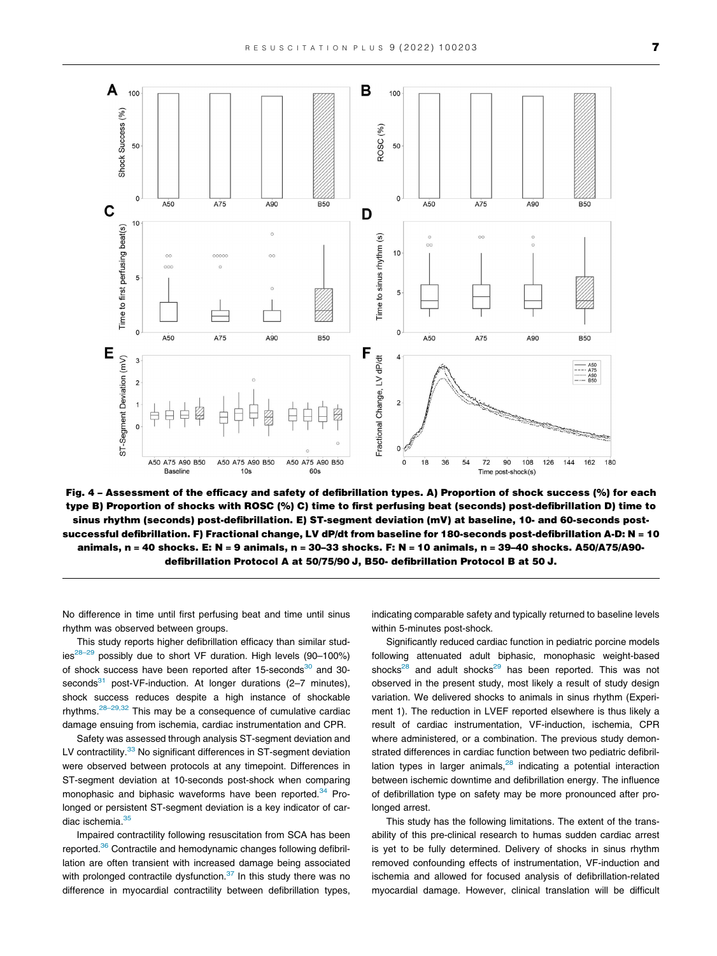<span id="page-6-0"></span>

Fig. 4 – Assessment of the efficacy and safety of defibrillation types. A) Proportion of shock success (%) for each type B) Proportion of shocks with ROSC (%) C) time to first perfusing beat (seconds) post-defibrillation D) time to sinus rhythm (seconds) post-defibrillation. E) ST-segment deviation (mV) at baseline, 10- and 60-seconds postsuccessful defibrillation. F) Fractional change, LV dP/dt from baseline for 180-seconds post-defibrillation A-D: N = 10 animals, n = 40 shocks. E: N = 9 animals, n = 30–33 shocks. F: N = 10 animals, n = 39–40 shocks. A50/A75/A90 defibrillation Protocol A at 50/75/90 J, B50- defibrillation Protocol B at 50 J.

No difference in time until first perfusing beat and time until sinus rhythm was observed between groups.

This study reports higher defibrillation efficacy than similar stud $ies^{28-29}$  possibly due to short VF duration. High levels (90-100%) of shock success have been reported after  $15$ -seconds $30$  and  $30$ seconds<sup>31</sup> post-VF-induction. At longer durations (2-7 minutes), shock success reduces despite a high instance of shockable rhythms.  $28-29,32$  This may be a consequence of cumulative cardiac damage ensuing from ischemia, cardiac instrumentation and CPR.

Safety was assessed through analysis ST-segment deviation and LV contractility.<sup>[33](#page-8-0)</sup> No significant differences in ST-segment deviation were observed between protocols at any timepoint. Differences in ST-segment deviation at 10-seconds post-shock when comparing monophasic and biphasic waveforms have been reported.<sup>34</sup> Prolonged or persistent ST-segment deviation is a key indicator of cardiac ischemia.<sup>35</sup>

Impaired contractility following resuscitation from SCA has been reported.<sup>[36](#page-8-0)</sup> Contractile and hemodynamic changes following defibrillation are often transient with increased damage being associated with prolonged contractile dysfunction. $37$  In this study there was no difference in myocardial contractility between defibrillation types, indicating comparable safety and typically returned to baseline levels within 5-minutes post-shock.

Significantly reduced cardiac function in pediatric porcine models following attenuated adult biphasic, monophasic weight-based shocks $^{28}$  $^{28}$  $^{28}$  and adult shocks $^{29}$  $^{29}$  $^{29}$  has been reported. This was not observed in the present study, most likely a result of study design variation. We delivered shocks to animals in sinus rhythm (Experiment 1). The reduction in LVEF reported elsewhere is thus likely a result of cardiac instrumentation, VF-induction, ischemia, CPR where administered, or a combination. The previous study demonstrated differences in cardiac function between two pediatric defibrillation types in larger animals, $28$  indicating a potential interaction between ischemic downtime and defibrillation energy. The influence of defibrillation type on safety may be more pronounced after prolonged arrest.

This study has the following limitations. The extent of the transability of this pre-clinical research to humas sudden cardiac arrest is yet to be fully determined. Delivery of shocks in sinus rhythm removed confounding effects of instrumentation, VF-induction and ischemia and allowed for focused analysis of defibrillation-related myocardial damage. However, clinical translation will be difficult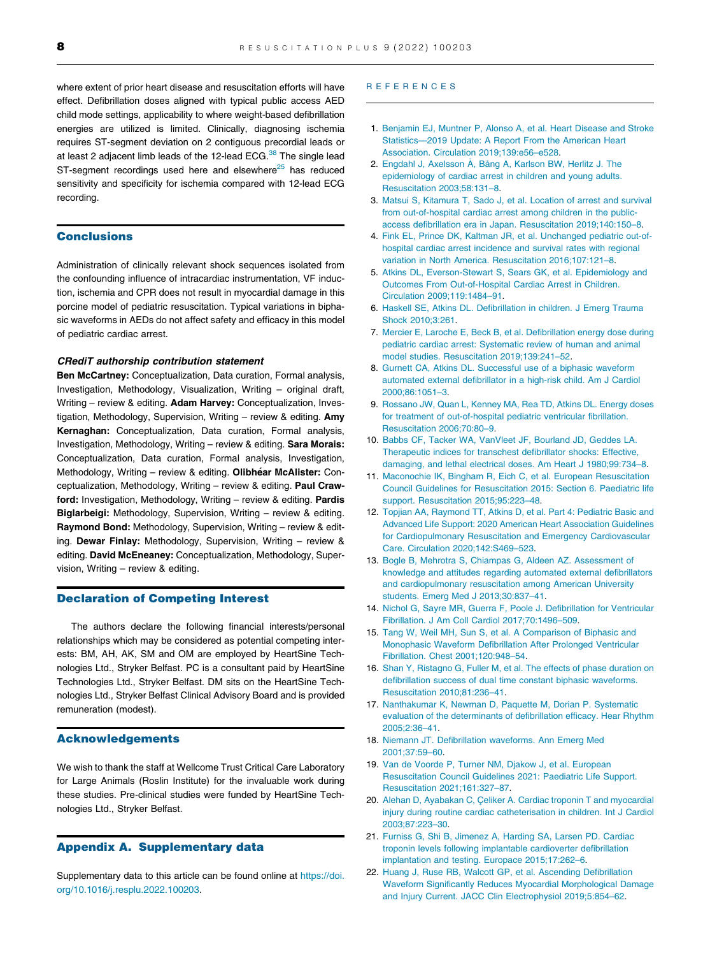<span id="page-7-0"></span>where extent of prior heart disease and resuscitation efforts will have effect. Defibrillation doses aligned with typical public access AED child mode settings, applicability to where weight-based defibrillation energies are utilized is limited. Clinically, diagnosing ischemia requires ST-segment deviation on 2 contiguous precordial leads or at least 2 adjacent limb leads of the 12-lead ECG. $38$  The single lead ST-segment recordings used here and elsewhere $25$  has reduced sensitivity and specificity for ischemia compared with 12-lead ECG recording.

#### Conclusions

Administration of clinically relevant shock sequences isolated from the confounding influence of intracardiac instrumentation, VF induction, ischemia and CPR does not result in myocardial damage in this porcine model of pediatric resuscitation. Typical variations in biphasic waveforms in AEDs do not affect safety and efficacy in this model of pediatric cardiac arrest.

#### CRediT authorship contribution statement

Ben McCartney: Conceptualization, Data curation, Formal analysis, Investigation, Methodology, Visualization, Writing – original draft, Writing – review & editing. Adam Harvey: Conceptualization, Investigation, Methodology, Supervision, Writing – review & editing. Amy Kernaghan: Conceptualization, Data curation, Formal analysis, Investigation, Methodology, Writing – review & editing. Sara Morais: Conceptualization, Data curation, Formal analysis, Investigation, Methodology, Writing – review & editing. Olibhéar McAlister: Conceptualization, Methodology, Writing – review & editing. Paul Crawford: Investigation, Methodology, Writing – review & editing. Pardis Biglarbeigi: Methodology, Supervision, Writing – review & editing. Raymond Bond: Methodology, Supervision, Writing - review & editing. Dewar Finlay: Methodology, Supervision, Writing – review & editing. David McEneaney: Conceptualization, Methodology, Supervision, Writing – review & editing.

#### Declaration of Competing Interest

The authors declare the following financial interests/personal relationships which may be considered as potential competing interests: BM, AH, AK, SM and OM are employed by HeartSine Technologies Ltd., Stryker Belfast. PC is a consultant paid by HeartSine Technologies Ltd., Stryker Belfast. DM sits on the HeartSine Technologies Ltd., Stryker Belfast Clinical Advisory Board and is provided remuneration (modest).

#### Acknowledgements

We wish to thank the staff at Wellcome Trust Critical Care Laboratory for Large Animals (Roslin Institute) for the invaluable work during these studies. Pre-clinical studies were funded by HeartSine Technologies Ltd., Stryker Belfast.

#### Appendix A. Supplementary data

Supplementary data to this article can be found online at [https://doi.](https://doi.org/10.1016/j.resplu.2022.100203) [org/10.1016/j.resplu.2022.100203.](https://doi.org/10.1016/j.resplu.2022.100203)

#### REFERENCES

- 1. [Benjamin EJ, Muntner P, Alonso A, et al. Heart Disease and Stroke](http://refhub.elsevier.com/S2666-5204(22)00003-0/h0005) [Statistics—2019 Update: A Report From the American Heart](http://refhub.elsevier.com/S2666-5204(22)00003-0/h0005) [Association. Circulation 2019;139:e56–e528](http://refhub.elsevier.com/S2666-5204(22)00003-0/h0005).
- 2. [Engdahl J, Axelsson](http://refhub.elsevier.com/S2666-5204(22)00003-0/h0010) A, Bång A, Karlson BW, Herlitz J. The [epidemiology of cardiac arrest in children and young adults.](http://refhub.elsevier.com/S2666-5204(22)00003-0/h0010) [Resuscitation 2003;58:131–8.](http://refhub.elsevier.com/S2666-5204(22)00003-0/h0010)
- 3. [Matsui S, Kitamura T, Sado J, et al. Location of arrest and survival](http://refhub.elsevier.com/S2666-5204(22)00003-0/h0015) [from out-of-hospital cardiac arrest among children in the public](http://refhub.elsevier.com/S2666-5204(22)00003-0/h0015)[access defibrillation era in Japan. Resuscitation 2019;140:150–8.](http://refhub.elsevier.com/S2666-5204(22)00003-0/h0015)
- 4. [Fink EL, Prince DK, Kaltman JR, et al. Unchanged pediatric out-of](http://refhub.elsevier.com/S2666-5204(22)00003-0/h0020)[hospital cardiac arrest incidence and survival rates with regional](http://refhub.elsevier.com/S2666-5204(22)00003-0/h0020) [variation in North America. Resuscitation 2016;107:121–8](http://refhub.elsevier.com/S2666-5204(22)00003-0/h0020).
- 5. [Atkins DL, Everson-Stewart S, Sears GK, et al. Epidemiology and](http://refhub.elsevier.com/S2666-5204(22)00003-0/h0025) [Outcomes From Out-of-Hospital Cardiac Arrest in Children.](http://refhub.elsevier.com/S2666-5204(22)00003-0/h0025) [Circulation 2009;119:1484–91](http://refhub.elsevier.com/S2666-5204(22)00003-0/h0025).
- 6. [Haskell SE, Atkins DL. Defibrillation in children. J Emerg Trauma](http://refhub.elsevier.com/S2666-5204(22)00003-0/h0030) [Shock 2010;3:261](http://refhub.elsevier.com/S2666-5204(22)00003-0/h0030).
- 7. [Mercier E, Laroche E, Beck B, et al. Defibrillation energy dose during](http://refhub.elsevier.com/S2666-5204(22)00003-0/h0035) [pediatric cardiac arrest: Systematic review of human and animal](http://refhub.elsevier.com/S2666-5204(22)00003-0/h0035) [model studies. Resuscitation 2019;139:241–52.](http://refhub.elsevier.com/S2666-5204(22)00003-0/h0035)
- 8. [Gurnett CA, Atkins DL. Successful use of a biphasic waveform](http://refhub.elsevier.com/S2666-5204(22)00003-0/h0040) [automated external defibrillator in a high-risk child. Am J Cardiol](http://refhub.elsevier.com/S2666-5204(22)00003-0/h0040) [2000;86:1051–3](http://refhub.elsevier.com/S2666-5204(22)00003-0/h0040).
- 9. [Rossano JW, Quan L, Kenney MA, Rea TD, Atkins DL. Energy doses](http://refhub.elsevier.com/S2666-5204(22)00003-0/h0045) [for treatment of out-of-hospital pediatric ventricular fibrillation.](http://refhub.elsevier.com/S2666-5204(22)00003-0/h0045) [Resuscitation 2006;70:80–9](http://refhub.elsevier.com/S2666-5204(22)00003-0/h0045).
- 10. [Babbs CF, Tacker WA, VanVleet JF, Bourland JD, Geddes LA.](http://refhub.elsevier.com/S2666-5204(22)00003-0/h0050) [Therapeutic indices for transchest defibrillator shocks: Effective,](http://refhub.elsevier.com/S2666-5204(22)00003-0/h0050) [damaging, and lethal electrical doses. Am Heart J 1980;99:734–8](http://refhub.elsevier.com/S2666-5204(22)00003-0/h0050).
- 11. [Maconochie IK, Bingham R, Eich C, et al. European Resuscitation](http://refhub.elsevier.com/S2666-5204(22)00003-0/h0055) [Council Guidelines for Resuscitation 2015: Section 6. Paediatric life](http://refhub.elsevier.com/S2666-5204(22)00003-0/h0055) [support. Resuscitation 2015;95:223–48](http://refhub.elsevier.com/S2666-5204(22)00003-0/h0055).
- 12. [Topjian AA, Raymond TT, Atkins D, et al. Part 4: Pediatric Basic and](http://refhub.elsevier.com/S2666-5204(22)00003-0/h0060) [Advanced Life Support: 2020 American Heart Association Guidelines](http://refhub.elsevier.com/S2666-5204(22)00003-0/h0060) [for Cardiopulmonary Resuscitation and Emergency Cardiovascular](http://refhub.elsevier.com/S2666-5204(22)00003-0/h0060) [Care. Circulation 2020;142:S469–523](http://refhub.elsevier.com/S2666-5204(22)00003-0/h0060).
- 13. [Bogle B, Mehrotra S, Chiampas G, Aldeen AZ. Assessment of](http://refhub.elsevier.com/S2666-5204(22)00003-0/h0065) [knowledge and attitudes regarding automated external defibrillators](http://refhub.elsevier.com/S2666-5204(22)00003-0/h0065) [and cardiopulmonary resuscitation among American University](http://refhub.elsevier.com/S2666-5204(22)00003-0/h0065) [students. Emerg Med J 2013;30:837–41](http://refhub.elsevier.com/S2666-5204(22)00003-0/h0065).
- 14. [Nichol G, Sayre MR, Guerra F, Poole J. Defibrillation for Ventricular](http://refhub.elsevier.com/S2666-5204(22)00003-0/h0070) [Fibrillation. J Am Coll Cardiol 2017;70:1496–509.](http://refhub.elsevier.com/S2666-5204(22)00003-0/h0070)
- 15. [Tang W, Weil MH, Sun S, et al. A Comparison of Biphasic and](http://refhub.elsevier.com/S2666-5204(22)00003-0/h0075) [Monophasic Waveform Defibrillation After Prolonged Ventricular](http://refhub.elsevier.com/S2666-5204(22)00003-0/h0075) [Fibrillation. Chest 2001;120:948–54](http://refhub.elsevier.com/S2666-5204(22)00003-0/h0075).
- 16. [Shan Y, Ristagno G, Fuller M, et al. The effects of phase duration on](http://refhub.elsevier.com/S2666-5204(22)00003-0/h0080) [defibrillation success of dual time constant biphasic waveforms.](http://refhub.elsevier.com/S2666-5204(22)00003-0/h0080) [Resuscitation 2010;81:236–41](http://refhub.elsevier.com/S2666-5204(22)00003-0/h0080).
- 17. [Nanthakumar K, Newman D, Paquette M, Dorian P. Systematic](http://refhub.elsevier.com/S2666-5204(22)00003-0/h0085) [evaluation of the determinants of defibrillation efficacy. Hear Rhythm](http://refhub.elsevier.com/S2666-5204(22)00003-0/h0085) [2005;2:36–41.](http://refhub.elsevier.com/S2666-5204(22)00003-0/h0085)
- 18. [Niemann JT. Defibrillation waveforms. Ann Emerg Med](http://refhub.elsevier.com/S2666-5204(22)00003-0/h0090) [2001;37:59–60.](http://refhub.elsevier.com/S2666-5204(22)00003-0/h0090)
- 19. [Van de Voorde P, Turner NM, Djakow J, et al. European](http://refhub.elsevier.com/S2666-5204(22)00003-0/h0095) [Resuscitation Council Guidelines 2021: Paediatric Life Support.](http://refhub.elsevier.com/S2666-5204(22)00003-0/h0095) [Resuscitation 2021;161:327–87](http://refhub.elsevier.com/S2666-5204(22)00003-0/h0095).
- 20. Alehan D, Ayabakan C, Çeliker A. Cardiac troponin T and myocardial [injury during routine cardiac catheterisation in children. Int J Cardiol](http://refhub.elsevier.com/S2666-5204(22)00003-0/h0100) [2003;87:223–30.](http://refhub.elsevier.com/S2666-5204(22)00003-0/h0100)
- 21. [Furniss G, Shi B, Jimenez A, Harding SA, Larsen PD. Cardiac](http://refhub.elsevier.com/S2666-5204(22)00003-0/h0105) [troponin levels following implantable cardioverter defibrillation](http://refhub.elsevier.com/S2666-5204(22)00003-0/h0105) [implantation and testing. Europace 2015;17:262–6](http://refhub.elsevier.com/S2666-5204(22)00003-0/h0105).
- 22. [Huang J, Ruse RB, Walcott GP, et al. Ascending Defibrillation](http://refhub.elsevier.com/S2666-5204(22)00003-0/h0110) [Waveform Significantly Reduces Myocardial Morphological Damage](http://refhub.elsevier.com/S2666-5204(22)00003-0/h0110) [and Injury Current. JACC Clin Electrophysiol 2019;5:854–62.](http://refhub.elsevier.com/S2666-5204(22)00003-0/h0110)